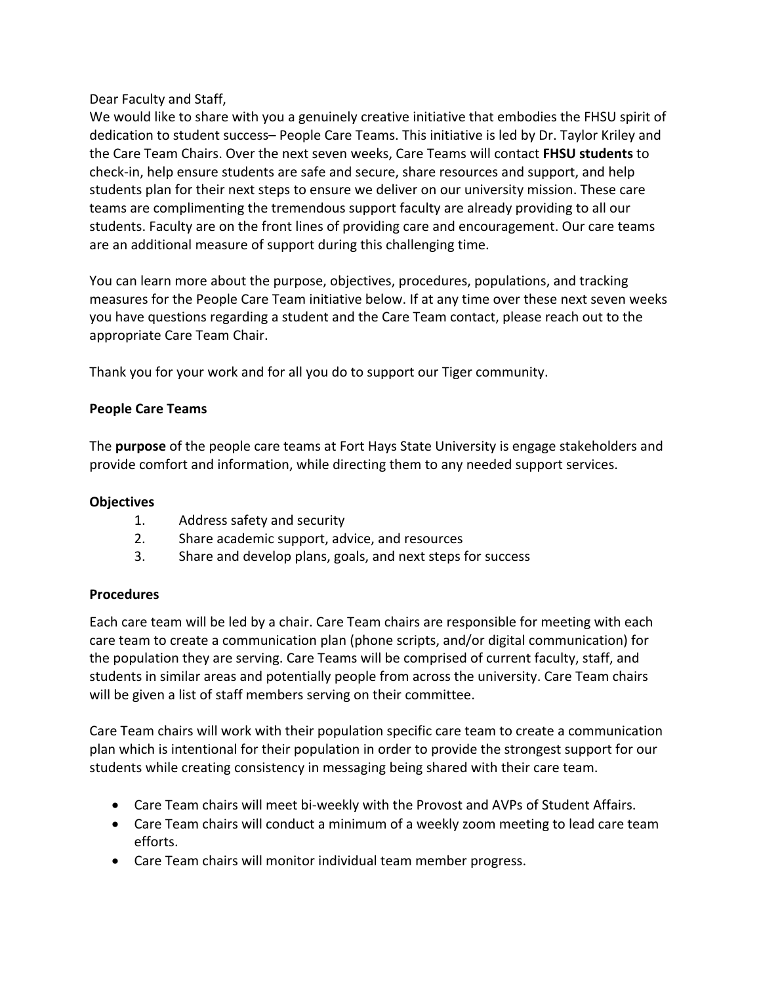Dear Faculty and Staff,

We would like to share with you a genuinely creative initiative that embodies the FHSU spirit of dedication to student success– People Care Teams. This initiative is led by Dr. Taylor Kriley and the Care Team Chairs. Over the next seven weeks, Care Teams will contact **FHSU students** to check-in, help ensure students are safe and secure, share resources and support, and help students plan for their next steps to ensure we deliver on our university mission. These care teams are complimenting the tremendous support faculty are already providing to all our students. Faculty are on the front lines of providing care and encouragement. Our care teams are an additional measure of support during this challenging time.

You can learn more about the purpose, objectives, procedures, populations, and tracking measures for the People Care Team initiative below. If at any time over these next seven weeks you have questions regarding a student and the Care Team contact, please reach out to the appropriate Care Team Chair.

Thank you for your work and for all you do to support our Tiger community.

# **People Care Teams**

The **purpose** of the people care teams at Fort Hays State University is engage stakeholders and provide comfort and information, while directing them to any needed support services. 

## **Objectives**

- 1. Address safety and security
- 2. Share academic support, advice, and resources
- 3. Share and develop plans, goals, and next steps for success

## **Procedures**

Each care team will be led by a chair. Care Team chairs are responsible for meeting with each care team to create a communication plan (phone scripts, and/or digital communication) for the population they are serving. Care Teams will be comprised of current faculty, staff, and students in similar areas and potentially people from across the university. Care Team chairs will be given a list of staff members serving on their committee.

Care Team chairs will work with their population specific care team to create a communication plan which is intentional for their population in order to provide the strongest support for our students while creating consistency in messaging being shared with their care team.

- Care Team chairs will meet bi-weekly with the Provost and AVPs of Student Affairs.
- Care Team chairs will conduct a minimum of a weekly zoom meeting to lead care team efforts.
- Care Team chairs will monitor individual team member progress.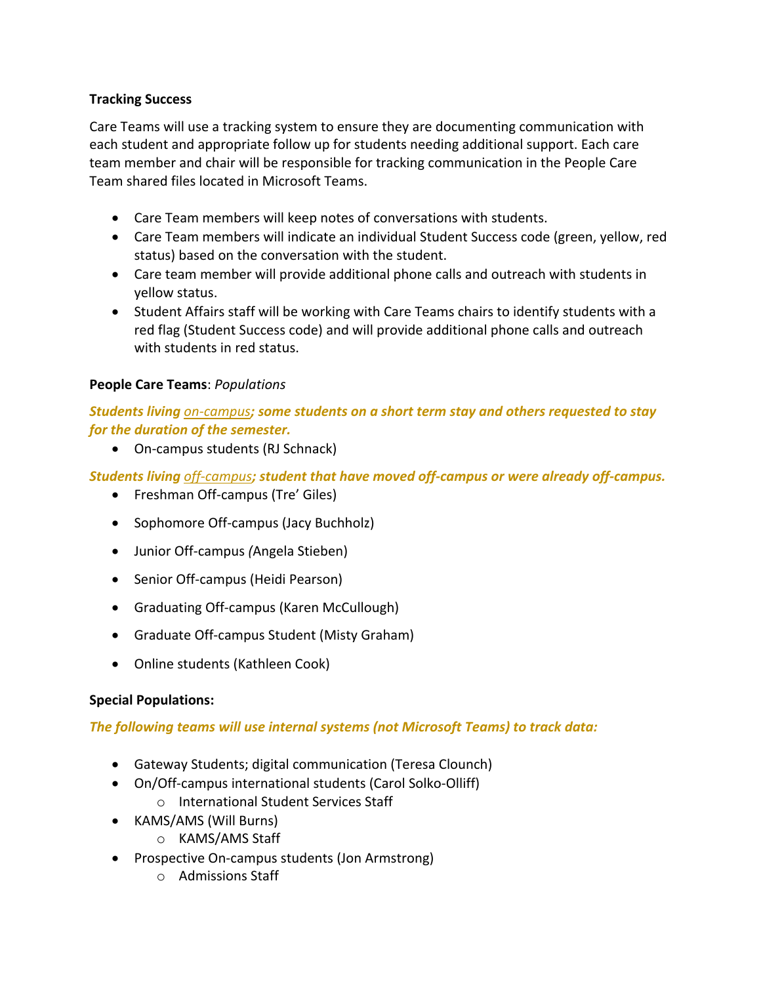### **Tracking Success**

Care Teams will use a tracking system to ensure they are documenting communication with each student and appropriate follow up for students needing additional support. Each care team member and chair will be responsible for tracking communication in the People Care Team shared files located in Microsoft Teams.

- Care Team members will keep notes of conversations with students.
- Care Team members will indicate an individual Student Success code (green, yellow, red status) based on the conversation with the student.
- Care team member will provide additional phone calls and outreach with students in yellow status.
- Student Affairs staff will be working with Care Teams chairs to identify students with a red flag (Student Success code) and will provide additional phone calls and outreach with students in red status.

#### **People Care Teams**: *Populations*

*Students living on-campus; some students on a short term stay and others requested to stay for the duration of the semester.*

• On-campus students (RJ Schnack) 

*Students living off-campus; student that have moved off-campus or were already off-campus.*

- Freshman Off-campus (Tre' Giles)
- Sophomore Off-campus (Jacy Buchholz)
- Junior Off-campus *(*Angela Stieben)
- Senior Off-campus (Heidi Pearson)
- Graduating Off-campus (Karen McCullough)
- Graduate Off-campus Student (Misty Graham)
- Online students (Kathleen Cook)

## **Special Populations:**

## *The following teams will use internal systems (not Microsoft Teams) to track data:*

- Gateway Students; digital communication (Teresa Clounch)
- On/Off-campus international students (Carol Solko-Olliff)
	- o International Student Services Staff
- KAMS/AMS (Will Burns)
	- o KAMS/AMS Staff
- Prospective On-campus students (Jon Armstrong)
	- o Admissions Staff